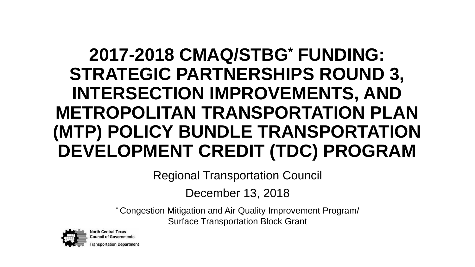#### **2017-2018 CMAQ/STBG\* FUNDING: STRATEGIC PARTNERSHIPS ROUND 3, INTERSECTION IMPROVEMENTS, AND METROPOLITAN TRANSPORTATION PLAN (MTP) POLICY BUNDLE TRANSPORTATION DEVELOPMENT CREDIT (TDC) PROGRAM**

Regional Transportation Council

December 13, 2018

\* Congestion Mitigation and Air Quality Improvement Program/ Surface Transportation Block Grant



**North Central Texas Council of Government Transportation Department**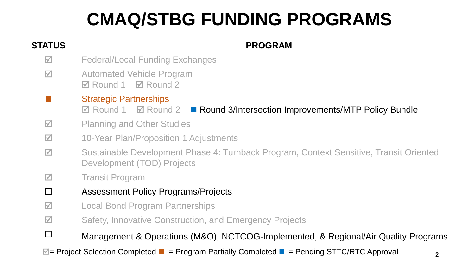### **CMAQ/STBG FUNDING PROGRAMS**

#### **STATUS PROGRAM**

- $\blacksquare$  Federal/Local Funding Exchanges
- $\overline{2}$  Automated Vehicle Program  $\nabla$  Round 1  $\nabla$  Round 2
- Strategic Partnerships
	- $\boxtimes$  **Round 1**  $\boxtimes$  **Round 2 Round 3/Intersection Improvements/MTP Policy Bundle**
- $\overline{2}$  Planning and Other Studies
- 10-Year Plan/Proposition 1 Adjustments
- Sustainable Development Phase 4: Turnback Program, Context Sensitive, Transit Oriented Development (TOD) Projects
- **M** Transit Program
- Assessment Policy Programs/Projects
- $\overline{a}$  Local Bond Program Partnerships
- $\overline{\mathbf{z}}$  **Safety, Innovative Construction, and Emergency Projects**
- $\square$  Management & Operations (M&O), NCTCOG-Implemented, & Regional/Air Quality Programs

 $\blacksquare$  = Project Selection Completed ■ = Program Partially Completed ■ = Pending STTC/RTC Approval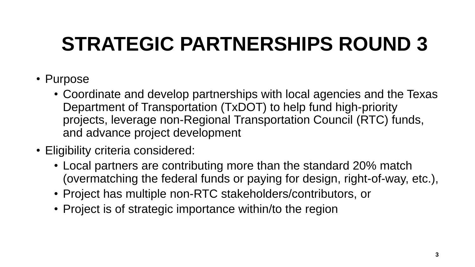### **STRATEGIC PARTNERSHIPS ROUND 3**

- Purpose
	- Coordinate and develop partnerships with local agencies and the Texas Department of Transportation (TxDOT) to help fund high-priority projects, leverage non-Regional Transportation Council (RTC) funds, and advance project development
- Eligibility criteria considered:
	- Local partners are contributing more than the standard 20% match (overmatching the federal funds or paying for design, right-of-way, etc.),
	- Project has multiple non-RTC stakeholders/contributors, or
	- Project is of strategic importance within/to the region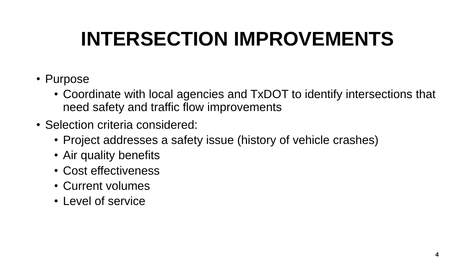### **INTERSECTION IMPROVEMENTS**

- Purpose
	- Coordinate with local agencies and TxDOT to identify intersections that need safety and traffic flow improvements
- Selection criteria considered:
	- Project addresses a safety issue (history of vehicle crashes)
	- Air quality benefits
	- Cost effectiveness
	- Current volumes
	- Level of service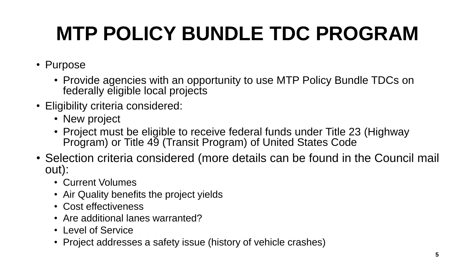# **MTP POLICY BUNDLE TDC PROGRAM**

- Purpose
	- Provide agencies with an opportunity to use MTP Policy Bundle TDCs on federally eligible local projects
- Eligibility criteria considered:
	- New project
	- Project must be eligible to receive federal funds under Title 23 (Highway Program) or Title 49 (Transit Program) of United States Code
- Selection criteria considered (more details can be found in the Council mail out):
	- Current Volumes
	- Air Quality benefits the project yields
	- Cost effectiveness
	- Are additional lanes warranted?
	- Level of Service
	- Project addresses a safety issue (history of vehicle crashes)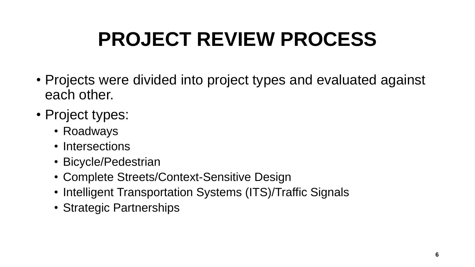## **PROJECT REVIEW PROCESS**

- Projects were divided into project types and evaluated against each other.
- Project types:
	- Roadways
	- Intersections
	- Bicycle/Pedestrian
	- Complete Streets/Context-Sensitive Design
	- Intelligent Transportation Systems (ITS)/Traffic Signals
	- Strategic Partnerships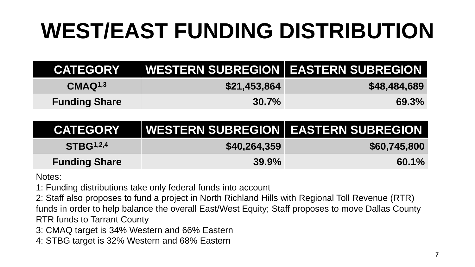# **WEST/EAST FUNDING DISTRIBUTION**

| <b>CATEGORY</b>      | WESTERN SUBREGION EASTERN SUBREGION |              |
|----------------------|-------------------------------------|--------------|
| CMAQ <sup>1,3</sup>  | \$21,453,864                        | \$48,484,689 |
| <b>Funding Share</b> | $30.7\%$                            | <b>69.3%</b> |

| <b>CATEGORY</b>       | WESTERN SUBREGION   EASTERN SUBREGION |              |
|-----------------------|---------------------------------------|--------------|
| STBG <sup>1,2,4</sup> | \$40,264,359                          | \$60,745,800 |
| <b>Funding Share</b>  | $39.9\%$                              | 60.1%        |

Notes:

1: Funding distributions take only federal funds into account

2: Staff also proposes to fund a project in North Richland Hills with Regional Toll Revenue (RTR) funds in order to help balance the overall East/West Equity; Staff proposes to move Dallas County RTR funds to Tarrant County

- 3: CMAQ target is 34% Western and 66% Eastern
- 4: STBG target is 32% Western and 68% Eastern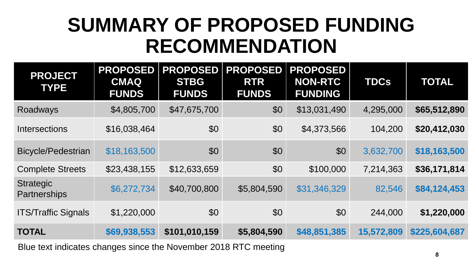### **SUMMARY OF PROPOSED FUNDING RECOMMENDATION**

| <b>PROJECT</b><br><b>TYPE</b>    | <b>PROPOSED</b><br><b>CMAQ</b><br><b>FUNDS</b> | <b>PROPOSED</b><br><b>STBG</b><br><b>FUNDS</b> | <b>PROPOSED</b><br><b>RTR</b><br><b>FUNDS</b> | <b>PROPOSED</b><br><b>NON-RTC</b><br><b>FUNDING</b> | <b>TDCs</b> | <b>TOTAL</b>  |
|----------------------------------|------------------------------------------------|------------------------------------------------|-----------------------------------------------|-----------------------------------------------------|-------------|---------------|
| Roadways                         | \$4,805,700                                    | \$47,675,700                                   | \$0                                           | \$13,031,490                                        | 4,295,000   | \$65,512,890  |
| <b>Intersections</b>             | \$16,038,464                                   | \$0                                            | \$0                                           | \$4,373,566                                         | 104,200     | \$20,412,030  |
| <b>Bicycle/Pedestrian</b>        | \$18,163,500                                   | \$0                                            | \$0                                           | \$0                                                 | 3,632,700   | \$18,163,500  |
| <b>Complete Streets</b>          | \$23,438,155                                   | \$12,633,659                                   | \$0                                           | \$100,000                                           | 7,214,363   | \$36,171,814  |
| <b>Strategic</b><br>Partnerships | \$6,272,734                                    | \$40,700,800                                   | \$5,804,590                                   | \$31,346,329                                        | 82,546      | \$84,124,453  |
| <b>ITS/Traffic Signals</b>       | \$1,220,000                                    | \$0                                            | \$0                                           | \$0                                                 | 244,000     | \$1,220,000   |
| <b>TOTAL</b>                     | \$69,938,553                                   | \$101,010,159                                  | \$5,804,590                                   | \$48,851,385                                        | 15,572,809  | \$225,604,687 |
|                                  |                                                |                                                |                                               |                                                     |             |               |

Blue text indicates changes since the November 2018 RTC meeting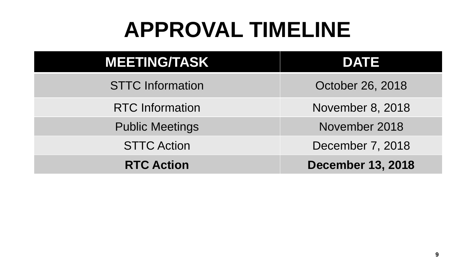# **APPROVAL TIMELINE**

| <b>MEETING/TASK</b>     | <b>DATE</b>              |  |  |
|-------------------------|--------------------------|--|--|
| <b>STTC Information</b> | October 26, 2018         |  |  |
| <b>RTC</b> Information  | November 8, 2018         |  |  |
| <b>Public Meetings</b>  | November 2018            |  |  |
| <b>STTC Action</b>      | December 7, 2018         |  |  |
| <b>RTC Action</b>       | <b>December 13, 2018</b> |  |  |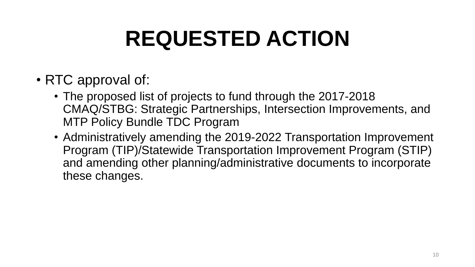# **REQUESTED ACTION**

- RTC approval of:
	- The proposed list of projects to fund through the 2017-2018 CMAQ/STBG: Strategic Partnerships, Intersection Improvements, and MTP Policy Bundle TDC Program
	- Administratively amending the 2019-2022 Transportation Improvement Program (TIP)/Statewide Transportation Improvement Program (STIP) and amending other planning/administrative documents to incorporate these changes.